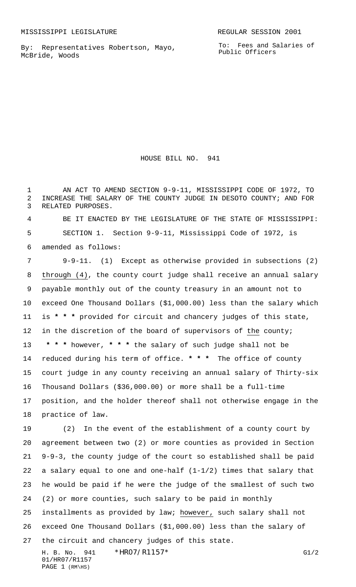By: Representatives Robertson, Mayo, McBride, Woods

HOUSE BILL NO. 941

1 AN ACT TO AMEND SECTION 9-9-11, MISSISSIPPI CODE OF 1972, TO INCREASE THE SALARY OF THE COUNTY JUDGE IN DESOTO COUNTY; AND FOR RELATED PURPOSES.

 BE IT ENACTED BY THE LEGISLATURE OF THE STATE OF MISSISSIPPI: SECTION 1. Section 9-9-11, Mississippi Code of 1972, is amended as follows:

 9-9-11. (1) Except as otherwise provided in subsections (2) through (4), the county court judge shall receive an annual salary payable monthly out of the county treasury in an amount not to exceed One Thousand Dollars (\$1,000.00) less than the salary which is **\* \* \*** provided for circuit and chancery judges of this state, in the discretion of the board of supervisors of the county;  **\* \* \*** however, **\* \* \*** the salary of such judge shall not be reduced during his term of office. **\* \* \*** The office of county court judge in any county receiving an annual salary of Thirty-six Thousand Dollars (\$36,000.00) or more shall be a full-time position, and the holder thereof shall not otherwise engage in the practice of law.

 (2) In the event of the establishment of a county court by agreement between two (2) or more counties as provided in Section 9-9-3, the county judge of the court so established shall be paid a salary equal to one and one-half (1-1/2) times that salary that he would be paid if he were the judge of the smallest of such two (2) or more counties, such salary to be paid in monthly installments as provided by law; however, such salary shall not exceed One Thousand Dollars (\$1,000.00) less than the salary of the circuit and chancery judges of this state.

H. B. No. 941 \* HRO7/R1157 \* The contract of the contract of the contract of the contract of the contract of the contract of the contract of the contract of the contract of the contract of the contract of the contract of t 01/HR07/R1157 PAGE 1 (RM\HS)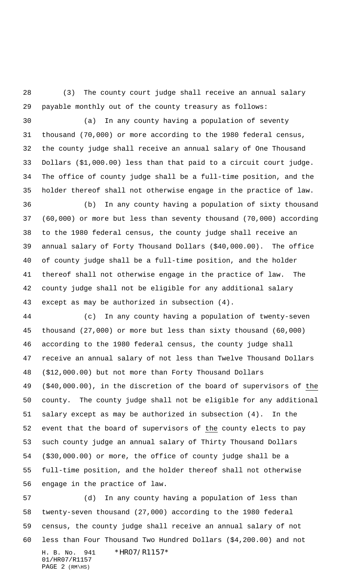(3) The county court judge shall receive an annual salary payable monthly out of the county treasury as follows:

 (a) In any county having a population of seventy thousand (70,000) or more according to the 1980 federal census, the county judge shall receive an annual salary of One Thousand Dollars (\$1,000.00) less than that paid to a circuit court judge. The office of county judge shall be a full-time position, and the holder thereof shall not otherwise engage in the practice of law.

 (b) In any county having a population of sixty thousand (60,000) or more but less than seventy thousand (70,000) according to the 1980 federal census, the county judge shall receive an annual salary of Forty Thousand Dollars (\$40,000.00). The office of county judge shall be a full-time position, and the holder thereof shall not otherwise engage in the practice of law. The county judge shall not be eligible for any additional salary except as may be authorized in subsection (4).

 (c) In any county having a population of twenty-seven thousand (27,000) or more but less than sixty thousand (60,000) according to the 1980 federal census, the county judge shall receive an annual salary of not less than Twelve Thousand Dollars (\$12,000.00) but not more than Forty Thousand Dollars (\$40,000.00), in the discretion of the board of supervisors of the county. The county judge shall not be eligible for any additional salary except as may be authorized in subsection (4). In the 52 event that the board of supervisors of the county elects to pay such county judge an annual salary of Thirty Thousand Dollars (\$30,000.00) or more, the office of county judge shall be a full-time position, and the holder thereof shall not otherwise engage in the practice of law.

H. B. No. 941 \*HR07/R1157\* 01/HR07/R1157 PAGE (RM\HS) (d) In any county having a population of less than twenty-seven thousand (27,000) according to the 1980 federal census, the county judge shall receive an annual salary of not less than Four Thousand Two Hundred Dollars (\$4,200.00) and not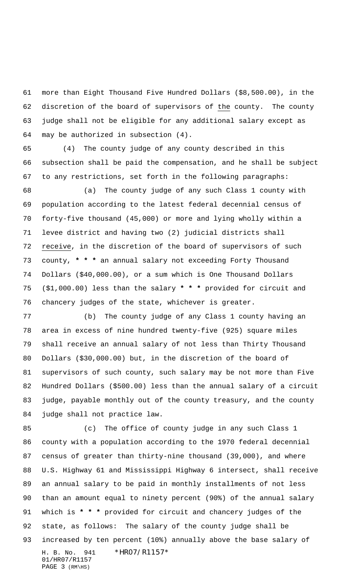more than Eight Thousand Five Hundred Dollars (\$8,500.00), in the discretion of the board of supervisors of the county. The county judge shall not be eligible for any additional salary except as may be authorized in subsection (4).

 (4) The county judge of any county described in this subsection shall be paid the compensation, and he shall be subject to any restrictions, set forth in the following paragraphs:

 (a) The county judge of any such Class 1 county with population according to the latest federal decennial census of forty-five thousand (45,000) or more and lying wholly within a levee district and having two (2) judicial districts shall receive, in the discretion of the board of supervisors of such county, **\* \* \*** an annual salary not exceeding Forty Thousand Dollars (\$40,000.00), or a sum which is One Thousand Dollars (\$1,000.00) less than the salary **\* \* \*** provided for circuit and chancery judges of the state, whichever is greater.

 (b) The county judge of any Class 1 county having an area in excess of nine hundred twenty-five (925) square miles shall receive an annual salary of not less than Thirty Thousand Dollars (\$30,000.00) but, in the discretion of the board of supervisors of such county, such salary may be not more than Five Hundred Dollars (\$500.00) less than the annual salary of a circuit judge, payable monthly out of the county treasury, and the county judge shall not practice law.

H. B. No. 941 \*HR07/R1157\* 01/HR07/R1157 PAGE (RM\HS) (c) The office of county judge in any such Class 1 county with a population according to the 1970 federal decennial census of greater than thirty-nine thousand (39,000), and where U.S. Highway 61 and Mississippi Highway 6 intersect, shall receive an annual salary to be paid in monthly installments of not less than an amount equal to ninety percent (90%) of the annual salary which is **\* \* \*** provided for circuit and chancery judges of the state, as follows: The salary of the county judge shall be increased by ten percent (10%) annually above the base salary of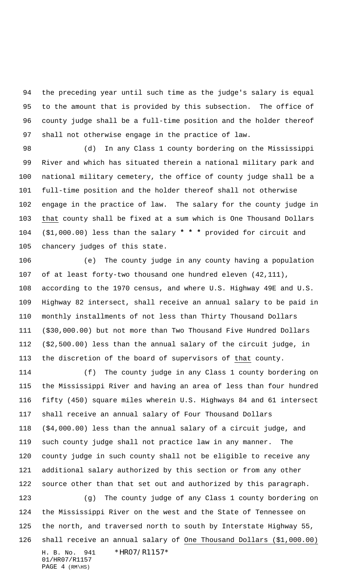the preceding year until such time as the judge's salary is equal to the amount that is provided by this subsection. The office of county judge shall be a full-time position and the holder thereof shall not otherwise engage in the practice of law.

 (d) In any Class 1 county bordering on the Mississippi River and which has situated therein a national military park and national military cemetery, the office of county judge shall be a full-time position and the holder thereof shall not otherwise engage in the practice of law. The salary for the county judge in that county shall be fixed at a sum which is One Thousand Dollars (\$1,000.00) less than the salary **\* \* \*** provided for circuit and chancery judges of this state.

 (e) The county judge in any county having a population of at least forty-two thousand one hundred eleven (42,111), according to the 1970 census, and where U.S. Highway 49E and U.S. Highway 82 intersect, shall receive an annual salary to be paid in monthly installments of not less than Thirty Thousand Dollars (\$30,000.00) but not more than Two Thousand Five Hundred Dollars (\$2,500.00) less than the annual salary of the circuit judge, in the discretion of the board of supervisors of that county.

 (f) The county judge in any Class 1 county bordering on the Mississippi River and having an area of less than four hundred fifty (450) square miles wherein U.S. Highways 84 and 61 intersect shall receive an annual salary of Four Thousand Dollars (\$4,000.00) less than the annual salary of a circuit judge, and such county judge shall not practice law in any manner. The county judge in such county shall not be eligible to receive any additional salary authorized by this section or from any other source other than that set out and authorized by this paragraph. (g) The county judge of any Class 1 county bordering on

 the Mississippi River on the west and the State of Tennessee on the north, and traversed north to south by Interstate Highway 55, shall receive an annual salary of One Thousand Dollars (\$1,000.00)

H. B. No. 941 \*HR07/R1157\* 01/HR07/R1157 PAGE (RM\HS)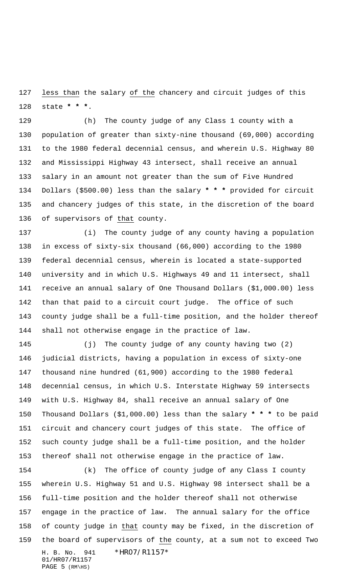less than the salary of the chancery and circuit judges of this state **\* \* \***.

 (h) The county judge of any Class 1 county with a population of greater than sixty-nine thousand (69,000) according to the 1980 federal decennial census, and wherein U.S. Highway 80 and Mississippi Highway 43 intersect, shall receive an annual salary in an amount not greater than the sum of Five Hundred Dollars (\$500.00) less than the salary **\* \* \*** provided for circuit and chancery judges of this state, in the discretion of the board of supervisors of that county.

 (i) The county judge of any county having a population in excess of sixty-six thousand (66,000) according to the 1980 federal decennial census, wherein is located a state-supported university and in which U.S. Highways 49 and 11 intersect, shall receive an annual salary of One Thousand Dollars (\$1,000.00) less than that paid to a circuit court judge. The office of such county judge shall be a full-time position, and the holder thereof shall not otherwise engage in the practice of law.

 (j) The county judge of any county having two (2) judicial districts, having a population in excess of sixty-one thousand nine hundred (61,900) according to the 1980 federal decennial census, in which U.S. Interstate Highway 59 intersects with U.S. Highway 84, shall receive an annual salary of One Thousand Dollars (\$1,000.00) less than the salary **\* \* \*** to be paid circuit and chancery court judges of this state. The office of such county judge shall be a full-time position, and the holder thereof shall not otherwise engage in the practice of law.

H. B. No. 941 \*HR07/R1157\* 01/HR07/R1157 PAGE (RM\HS) (k) The office of county judge of any Class I county wherein U.S. Highway 51 and U.S. Highway 98 intersect shall be a full-time position and the holder thereof shall not otherwise engage in the practice of law. The annual salary for the office 158 of county judge in that county may be fixed, in the discretion of the board of supervisors of the county, at a sum not to exceed Two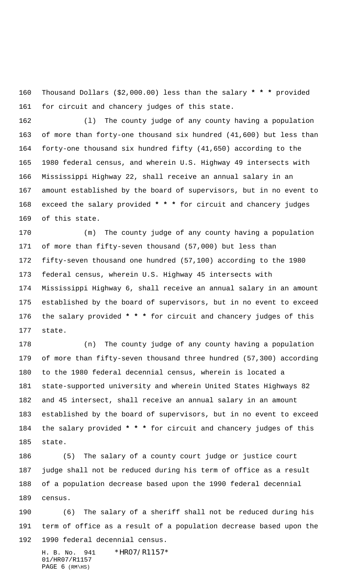Thousand Dollars (\$2,000.00) less than the salary **\* \* \*** provided for circuit and chancery judges of this state.

 (l) The county judge of any county having a population of more than forty-one thousand six hundred (41,600) but less than forty-one thousand six hundred fifty (41,650) according to the 1980 federal census, and wherein U.S. Highway 49 intersects with Mississippi Highway 22, shall receive an annual salary in an amount established by the board of supervisors, but in no event to exceed the salary provided **\* \* \*** for circuit and chancery judges of this state.

 (m) The county judge of any county having a population of more than fifty-seven thousand (57,000) but less than fifty-seven thousand one hundred (57,100) according to the 1980 federal census, wherein U.S. Highway 45 intersects with Mississippi Highway 6, shall receive an annual salary in an amount established by the board of supervisors, but in no event to exceed the salary provided **\* \* \*** for circuit and chancery judges of this state.

 (n) The county judge of any county having a population of more than fifty-seven thousand three hundred (57,300) according to the 1980 federal decennial census, wherein is located a state-supported university and wherein United States Highways 82 and 45 intersect, shall receive an annual salary in an amount established by the board of supervisors, but in no event to exceed the salary provided **\* \* \*** for circuit and chancery judges of this state.

 (5) The salary of a county court judge or justice court judge shall not be reduced during his term of office as a result of a population decrease based upon the 1990 federal decennial census.

 (6) The salary of a sheriff shall not be reduced during his term of office as a result of a population decrease based upon the 1990 federal decennial census.

H. B. No. 941 \*HR07/R1157\* 01/HR07/R1157 PAGE (RM\HS)